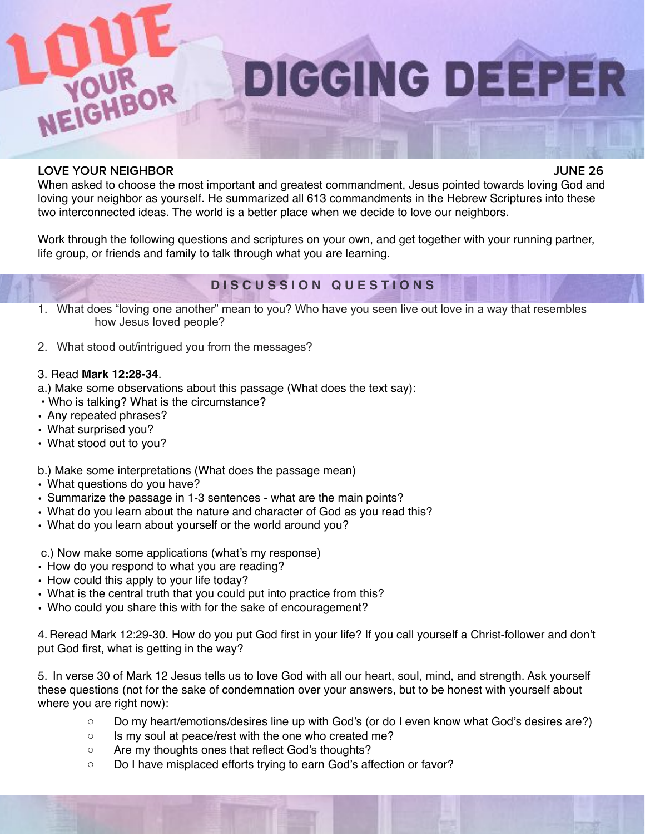

**DIGGING DEEPER** 

#### **LOVE YOUR NEIGHBOR JUNE 26**

When asked to choose the most important and greatest commandment, Jesus pointed towards loving God and loving your neighbor as yourself. He summarized all 613 commandments in the Hebrew Scriptures into these two interconnected ideas. The world is a better place when we decide to love our neighbors.

Work through the following questions and scriptures on your own, and get together with your running partner, life group, or friends and family to talk through what you are learning.

# **D I S C U S S I O N Q U E S T I O N S**

- 1. What does "loving one another" mean to you? Who have you seen live out love in a way that resembles how Jesus loved people?
- 2. What stood out/intrigued you from the messages?

#### 3. Read **Mark 12:28-34**.

- a.) Make some observations about this passage (What does the text say):
- Who is talking? What is the circumstance?
- Any repeated phrases?
- What surprised you?
- What stood out to you?

b.) Make some interpretations (What does the passage mean)

- What questions do you have?
- Summarize the passage in 1-3 sentences what are the main points?
- What do you learn about the nature and character of God as you read this?
- What do you learn about yourself or the world around you?
- c.) Now make some applications (what's my response)
- How do you respond to what you are reading?
- How could this apply to your life today?
- What is the central truth that you could put into practice from this?
- Who could you share this with for the sake of encouragement?

4. Reread Mark 12:29-30. How do you put God first in your life? If you call yourself a Christ-follower and don't put God first, what is getting in the way?

5. In verse 30 of Mark 12 Jesus tells us to love God with all our heart, soul, mind, and strength. Ask yourself these questions (not for the sake of condemnation over your answers, but to be honest with yourself about where you are right now):

- Do my heart/emotions/desires line up with God's (or do I even know what God's desires are?)
- Is my soul at peace/rest with the one who created me?
- Are my thoughts ones that reflect God's thoughts?
- Do I have misplaced efforts trying to earn God's affection or favor?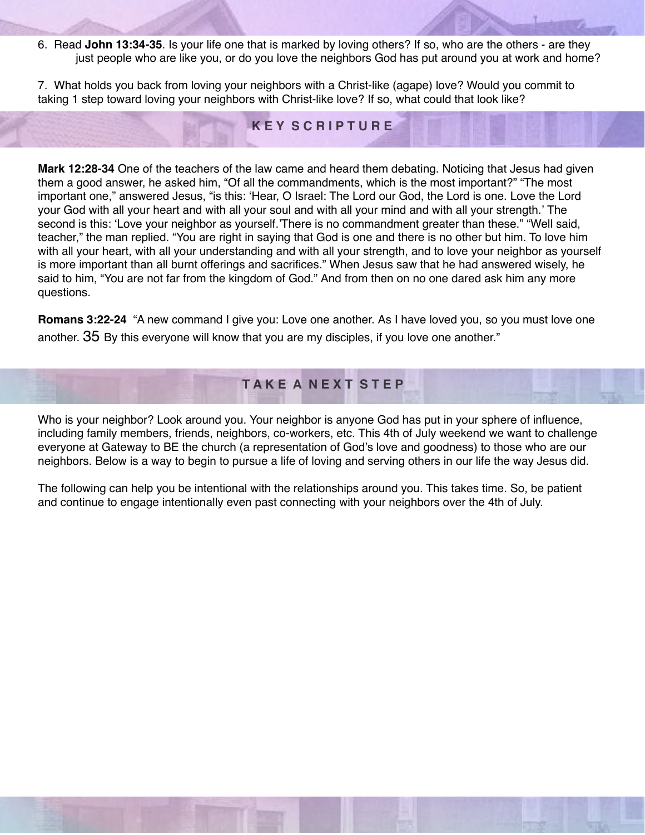6. Read **John 13:34-35**. Is your life one that is marked by loving others? If so, who are the others - are they just people who are like you, or do you love the neighbors God has put around you at work and home?

7. What holds you back from loving your neighbors with a Christ-like (agape) love? Would you commit to taking 1 step toward loving your neighbors with Christ-like love? If so, what could that look like?

## **K E Y S C R I P T U R E**

**Mark 12:28-34** One of the teachers of the law came and heard them debating. Noticing that Jesus had given them a good answer, he asked him, "Of all the commandments, which is the most important?" "The most important one," answered Jesus, "is this: 'Hear, O Israel: The Lord our God, the Lord is one. Love the Lord your God with all your heart and with all your soul and with all your mind and with all your strength.' The second is this: 'Love your neighbor as yourself.'There is no commandment greater than these." "Well said, teacher," the man replied. "You are right in saying that God is one and there is no other but him. To love him with all your heart, with all your understanding and with all your strength, and to love your neighbor as yourself is more important than all burnt offerings and sacrifices." When Jesus saw that he had answered wisely, he said to him, "You are not far from the kingdom of God." And from then on no one dared ask him any more questions.

**Romans 3:22-24** "A new command I give you: Love one another. As I have loved you, so you must love one another. 35 By this everyone will know that you are my disciples, if you love one another."

## **T A K E A N E X T S T E P**

Who is your neighbor? Look around you. Your neighbor is anyone God has put in your sphere of influence, including family members, friends, neighbors, co-workers, etc. This 4th of July weekend we want to challenge everyone at Gateway to BE the church (a representation of God's love and goodness) to those who are our neighbors. Below is a way to begin to pursue a life of loving and serving others in our life the way Jesus did.

The following can help you be intentional with the relationships around you. This takes time. So, be patient and continue to engage intentionally even past connecting with your neighbors over the 4th of July.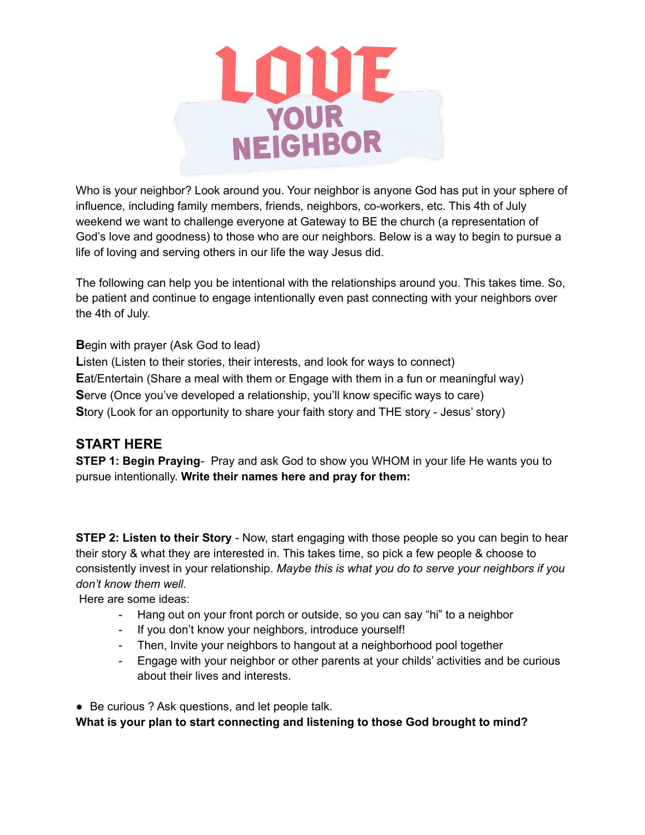

Who is your neighbor? Look around you. Your neighbor is anyone God has put in your sphere of influence, including family members, friends, neighbors, co-workers, etc. This 4th of July weekend we want to challenge everyone at Gateway to BE the church (a representation of God's love and goodness) to those who are our neighbors. Below is a way to begin to pursue a life of loving and serving others in our life the way Jesus did.

The following can help you be intentional with the relationships around you. This takes time. So, be patient and continue to engage intentionally even past connecting with your neighbors over the 4th of July.

**B**egin with prayer (Ask God to lead)

Listen (Listen to their stories, their interests, and look for ways to connect) **E**at/Entertain (Share a meal with them or Engage with them in a fun or meaningful way) **Serve (Once you've developed a relationship, you'll know specific ways to care) S**tory (Look for an opportunity to share your faith story and THE story - Jesus' story)

## **START HERE**

**STEP 1: Begin Praying**- Pray and ask God to show you WHOM in your life He wants you to pursue intentionally. **Write their names here and pray for them:**

**STEP 2: Listen to their Story** - Now, start engaging with those people so you can begin to hear their story & what they are interested in. This takes time, so pick a few people & choose to consistently invest in your relationship. *Maybe this is what you do to serve your neighbors if you don't know them well.*

Here are some ideas:

- Hang out on your front porch or outside, so you can say "hi" to a neighbor
- If you don't know your neighbors, introduce yourself!
- Then, Invite your neighbors to hangout at a neighborhood pool together
- Engage with your neighbor or other parents at your childs' activities and be curious about their lives and interests.

● Be curious ? Ask questions, and let people talk. **What is your plan to start connecting and listening to those God brought to mind?**